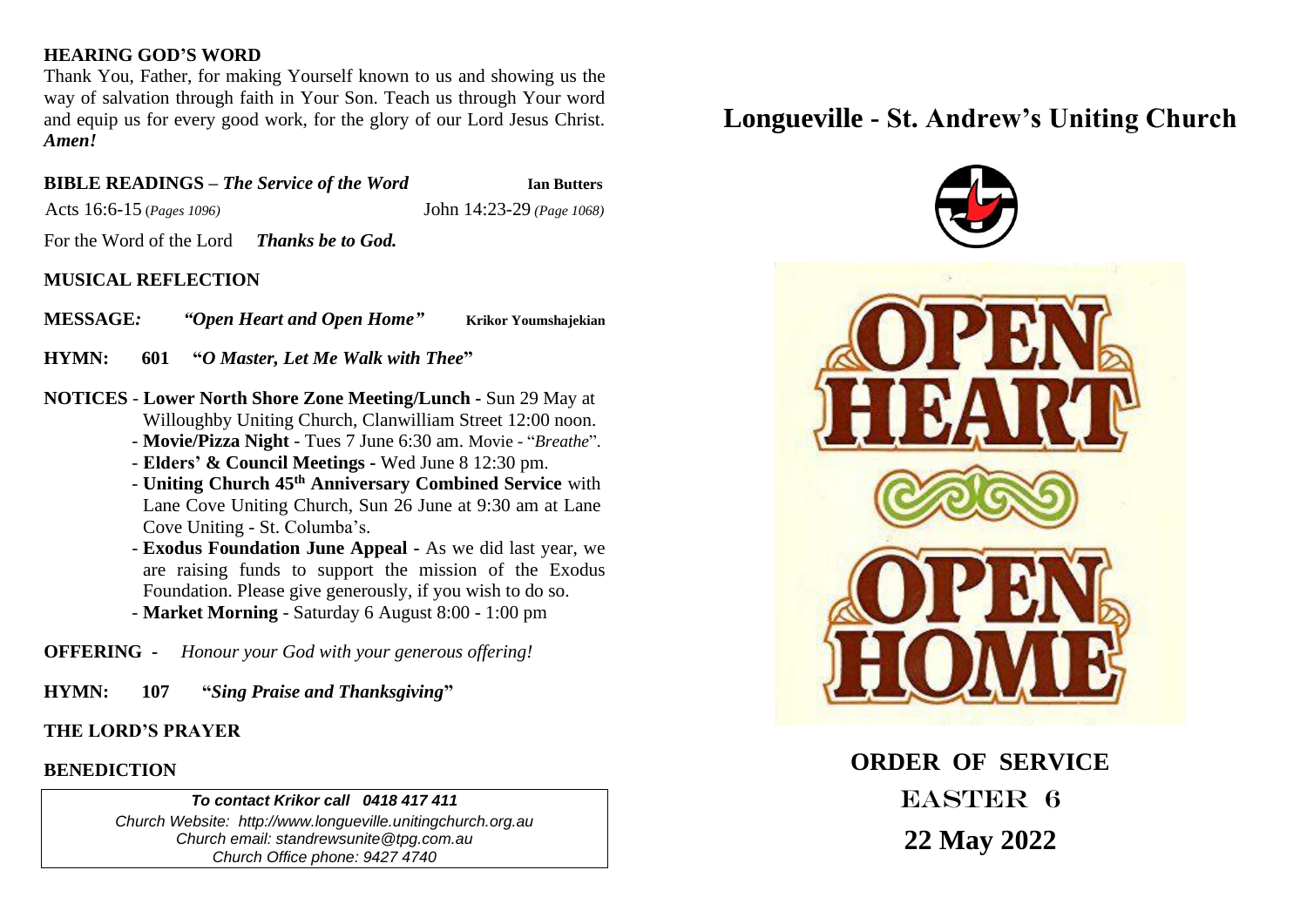#### **HEARING GOD'S WORD**

Thank You, Father, for making Yourself known to us and showing us the way of salvation through faith in Your Son. Teach us through Your word and equip us for every good work, for the glory of our Lord Jesus Christ. *Amen!*

## **BIBLE READINGS –** *The Service of the Word* **Ian Butters**

Acts 16:6-15 (*Pages 1096)* John 14:23-29 *(Page 1068)*

For the Word of the Lord *Thanks be to God.*

## **MUSICAL REFLECTION**

**MESSAGE***: "Open Heart and Open Home"* **Krikor Youmshajekian**

**HYMN: 601 "***O Master, Let Me Walk with Thee***"** 

- **NOTICES Lower North Shore Zone Meeting/Lunch -** Sun 29 May at Willoughby Uniting Church, Clanwilliam Street 12:00 noon.
	- **Movie/Pizza Night** Tues 7 June 6:30 am. Movie "*Breathe*".
	- **Elders' & Council Meetings -** Wed June 8 12:30 pm.
	- **Uniting Church 45th Anniversary Combined Service** with Lane Cove Uniting Church, Sun 26 June at 9:30 am at Lane Cove Uniting - St. Columba's.
	- **Exodus Foundation June Appeal -** As we did last year, we are raising funds to support the mission of the Exodus Foundation. Please give generously, if you wish to do so.
	- **Market Morning** Saturday 6 August 8:00 1:00 pm

**OFFERING -** *Honour your God with your generous offering!*

**HYMN: 107 "***Sing Praise and Thanksgiving***"** 

#### **THE LORD'S PRAYER**

#### **BENEDICTION**

#### *To contact Krikor call 0418 417 411*

*Church Website: http://www.longueville.unitingchurch.org.au Church email: standrewsunite@tpg.com.au Church Office phone: 9427 4740*

# **Longueville - St. Andrew's Uniting Church**



**ORDER OF SERVICE** EASTER 6 **22 May 2022**